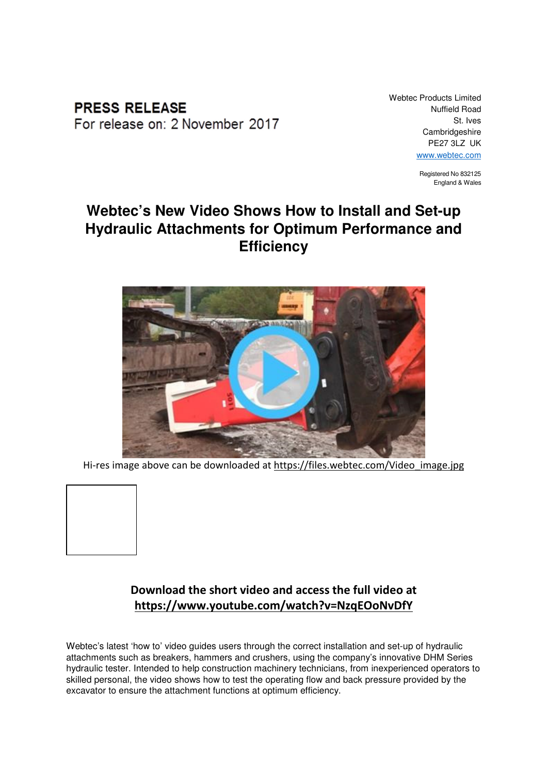**PRESS RELEASE** For release on: 2 November 2017 Webtec Products Limited Nuffield Road St. Ives Cambridgeshire PE27 3LZ UK www.webtec.com

> Registered No 832125 England & Wales

## **Webtec's New Video Shows How to Install and Set-up Hydraulic Attachments for Optimum Performance and Efficiency**



Hi-res image above can be downloaded at https://files.webtec.com/Video image.jpg



## Download the short video and access the full video at https://www.youtube.com/watch?v=NzqEOoNvDfY

Webtec's latest 'how to' video guides users through the correct installation and set-up of hydraulic attachments such as breakers, hammers and crushers, using the company's innovative DHM Series hydraulic tester. Intended to help construction machinery technicians, from inexperienced operators to skilled personal, the video shows how to test the operating flow and back pressure provided by the excavator to ensure the attachment functions at optimum efficiency.